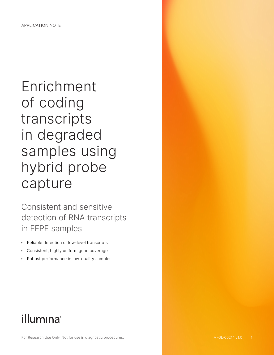# Enrichment of coding transcripts in degraded samples using hybrid probe capture

Consistent and sensitive detection of RNA transcripts in FFPE samples

- Reliable detection of low-level transcripts
- Consistent, highly uniform gene coverage
- Robust performance in low-quality samples

# illumina®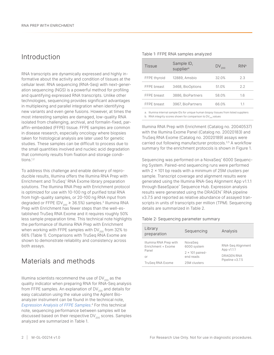# Introduction

RNA transcripts are dynamically expressed and highly informative about the activity and condition of tissues at the cellular level. RNA sequencing (RNA-Seq) with next-generation sequencing (NGS) is a powerful method for profiling and quantifying expressed RNA transcripts. Unlike other technologies, sequencing provides significant advantages in multiplexing and parallel integration when identifying new variants and even gene fusions. However, at times the most interesting samples are damaged, low-quality RNA isolated from challenging, archival, and formalin-fixed, paraffin-embedded (FFPE) tissue. FFPE samples are common in disease research, especially oncology where biopsies taken for histological analysis are later used for genetic studies. These samples can be difficult to process due to the small quantities involved and nucleic acid degradation that commonly results from fixation and storage conditions.[1,](#page-6-0)[2](#page-6-1)

To address this challenge and enable delivery of reproducible results, Illumina offers the Illumina RNA Prep with Enrichment and TruSeq™ RNA Exome library preparation solutions. The Illumina RNA Prep with Enrichment protocol is optimized for use with 10-100 ng of purified total RNA from high-quality samples, or 20-100 ng RNA input from degraded or FFPE (DV<sub>200</sub>  $\geq$  36.5%) samples.<sup>3</sup> Illumina RNA Prep with Enrichment has fewer steps than the well-established TruSeq RNA Exome and it requires roughly 50% less sample preparation time. This technical note highlights the performance of Illumina RNA Prep with Enrichment when working with FFPE samples with DV $_{200}$  from 32% to 66% ([Table 1](#page-1-0)). Comparisons with TruSeq RNA Exome are shown to demonstrate reliability and consistency across both assays.

## Materials and methods

Illumina scientists recommend the use of  $DV_{200}$  as the quality indicator when preparing RNA for RNA-Seq analysis from FFPE samples. An explanation of  $DV_{200}$  and details for easy calculation using the value using the Agilent Bioanalyzer instrument can be found in the technical note, *[Expression Analysis of FFPE Samples](https://www.illumina.com/content/dam/illumina-marketing/documents/products/technotes/technote-expression-analysis-ffpe-samples.pdf)*. [4](#page-6-3) For this technical note, sequencing performance between samples will be discussed based on their respective  $DV_{200}$  scores. Samples analyzed are summarized in [Table 1](#page-1-0).

# <span id="page-1-0"></span>Table 1: FFPE RNA samples analyzed Tissue Sample ID, suppliera  $DV_{200}$  RIN<sup>b</sup> FFPE thyroid 12889, Amsbio 32.0% 2.3 FFPE breast 3468, BioOptions 51.0% 2.2 FFPE breast 3886, BioPartners 58.0% 1.6 FFPE breast 3967, BioPartners 66.0% 1.1

a. Illumina internal sample IDs for unique human biopsy tissues from listed suppliers

b. RNA integrity scores shown for comparison to  $DV_{200}$  values

Illumina RNA Prep with Enrichment (Catalog no. 20040537) with the Illumina Exome Panel (Catalog no. 20020183) and TruSeq RNA Exome (Catalog no. 20020189) assays were carried out following manufacturer protocols[.3](#page-6-2),[5](#page-6-4) A workflow summary for the enrichment protocols is shown in [Figure 1](#page-2-0).

Sequencing was performed on a NovaSeq™ 6000 Sequencing System. Paired-end sequencing runs were performed with  $2 \times 101$  bp reads with a minimum of 25M clusters per sample. Transcript coverage and alignment results were generated using the Illumina RNA-Seq Alignment App v1.1.1 through BaseSpace™ Sequence Hub. Expression analysis results were generated using the DRAGEN™ RNA pipeline v3.7.5 and reported as relative abundance of assayed transcripts in units of transcripts per million (TPM). Sequencing details are summarized in [Table 2](#page-1-1).

#### Table 2: Sequencing parameter summary

<span id="page-1-1"></span>

| Library<br>preparation                                                          | Sequencing                                                                    | Analysis                                                         |
|---------------------------------------------------------------------------------|-------------------------------------------------------------------------------|------------------------------------------------------------------|
| Illumina RNA Prep with<br>Enrichment + Exome<br>Panel<br>or<br>TruSeg RNA Exome | NovaSeg<br>6000 system<br>$2 \times 101$ paired-<br>end reads<br>25M clusters | RNA-Seg Alignment<br>App v1.1.1<br>DRAGEN RNA<br>Pipeline v3.7.5 |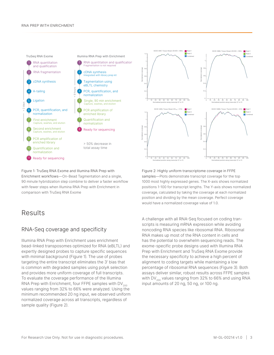#### RNA PREP WITH ENRICHMENT



0 0.2 0.4  $\overline{0}$ 0 10 20 30 40 50 60 70 80 90 100 Normalized position along transcript (5' to 3') Figure 1: TruSeq RNA Exome and Illumina RNA Prep with

<span id="page-2-0"></span>Enrichment workflows—On-Bead Tagmentation and a single, 90 minute hybridization step combine to deliver a faster workflow with fewer steps when Illumina RNA Prep with Enrichment in comparison with TruSeq RNA Exome

# Results

### RNA-Seq coverage and specificity

Illumina RNA Prep with Enrichment uses enrichment bead-linked transposomes optimized for RNA (eBLTL) and expertly designed probes to capture specific sequences with minimal background ([Figure 1](#page-2-0)). The use of probes targeting the entire transcript eliminates the 3′ bias that is common with degraded samples using polyA selection and provides more uniform coverage of full transcripts. To evaluate the coverage performance of the Illumina RNA Prep with Enrichment, four FFPE samples with  $DV_{200}$ values ranging from 32% to 66% were analyzed. Using the minimum recommended 20 ng input, we observed uniform normalized coverage across all transcripts, regardless of sample quality [\(Figure 2\)](#page-2-1).



Read 1

<span id="page-2-1"></span>Figure 2: Highly uniform transcriptome coverage in FFPE samples—Plots demonstrate transcript coverage for the top 1000 most highly expressed genes. The X-axis shows normalized positions 1-100 for transcript lengths. The Y-axis shows normalized coverage, calculated by taking the coverage at each normalized position and dividing by the mean coverage. Perfect coverage would have a normalized coverage value of 1.0.

A challenge with all RNA-Seq focused on coding transcripts is measuring mRNA expression while avoiding noncoding RNA species like ribosomal RNA. Ribosomal RNA makes up most of the RNA content in cells and has the potential to overwhelm sequencing reads. The exome-specific probe designs used with Illumina RNA Prep with Enrichment and TruSeq RNA Exome provide the necessary specificity to achieve a high percent of alignment to coding targets while maintaining a low percentage of ribosomal RNA sequences ([Figure 3\)](#page-3-0). Both assays deliver similar, robust results across FFPE samples with DV $_{200}$  values ranging from 32% to 66% and using RNA input amounts of 20 ng, 50 ng, or 100 ng.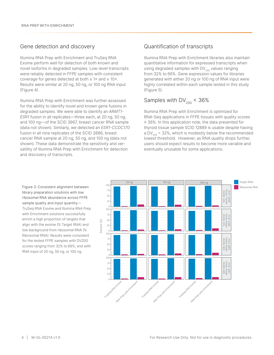#### Gene detection and discovery

Illumina RNA Prep with Enrichment and TruSeq RNA Exome perform well for detection of both known and novel isoforms in degraded samples. Low-level transcripts were reliably detected in FFPE samples with consistent coverage for genes detected at both  $\geq 1 \times$  and  $\geq 10 \times$ . Results were similar at 20 ng, 50 ng, or 100 ng RNA input [\(Figure 4\)](#page-4-0).

Illumina RNA Prep with Enrichment was further assessed for the ability to identify novel and known gene fusions in degraded samples. We were able to identify an *ARMT1- ESR1* fusion in all replicates—three each, at 20 ng, 50 ng, and 100 ng—of the SCID 3967, breast cancer RNA sample (data not shown). Similarly, we detected an *ESR1-CCDC170* fusion in all nine replicates of the SCID 3886, breast cancer RNA sample at 20 ng, 50 ng, and 100 ng (data not shown). These data demonstrate the sensitivity and versatility of Illumina RNA Prep with Enrichment for detection and discovery of transcripts.

#### Quantification of transcripts

Illumina RNA Prep with Enrichment libraries also maintain quantitative information for expressed transcripts when using degraded samples with  $DV_{200}$  values ranging from 32% to 66%. Gene expression values for libraries generated with either 20 ng or 100 ng of RNA input were highly correlated within each sample tested in this study ([Figure 5\)](#page-4-1).

### Samples with  $DV_{200}$  < 36%

Illumina RNA Prep with Enrichment is optimized for RNA-Seq applications in FFPE tissues with quality scores ≥ 36%. In this application note, the data presented for thyroid tissue sample SCID 12889 is usable despite having a DV<sub>200</sub> = 32%, which is modestly below the recommended lowest threshold. However, as RNA quality drops further, users should expect results to become more variable and eventually unusable for some applications.



<span id="page-3-0"></span>library preparation solutions with low ribosomal RNA abundance across FFPE sample quality and input quantity— TruSeq RNA Exome and Illumina RNA Prep with Enrichment solutions successfully enrich a high proportion of targets that align with the exome (% Target RNA) and low background from ribosomal RNA (% Ribosomal RNA). Results were consistent for the tested FFPE samples with DV200 scores ranging from 32% to 66%, and with RNA input of 20 ng, 50 ng, or 100 ng.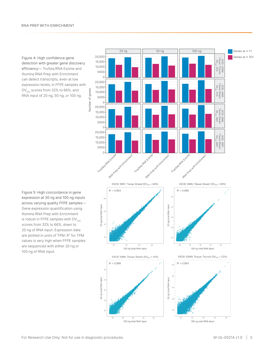<span id="page-4-0"></span>Figure 4: High confidence gene detection with greater gene discovery efficiency— TruSeq RNA Exome and Illumina RNA Prep with Enrichment can detect transcripts, even at low expression levels, in FFPE samples with  $DV_{200}$  scores from 32% to 66%, and RNA input of 20 ng, 50 ng, or 100 ng.

<span id="page-4-1"></span>Figure 5: High concordance in gene expression at 20 ng and 100 ng inputs across varying quality FFPE samples— Gene expression quantification using Illumina RNA Prep with Enrichment is robust in FFPE samples with  $DV_{200}$ scores from 32% to 66%, down to 20 ng of RNA input. Expression data are plotted in units of TPM.  $R^2$  for TPM values is very high when FFPE samples are sequenced with either 20 ng or 100 ng of RNA input.

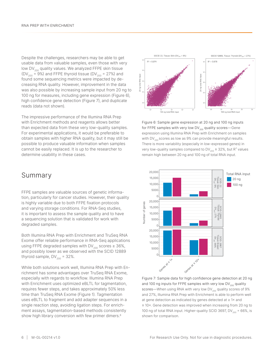Despite the challenges, researchers may be able to get usable data from valuable samples, even those with very low  $DV_{200}$  quality values. We analyzed FFPE skin tissue (DV<sub>200</sub> = 9%) and FFPE thyroid tissue (DV<sub>200</sub> = 27%) and found some sequencing metrics were impacted by decreasing RNA quality. However, improvement in the data was also possible by increasing sample input from 20 ng to 100 ng for measures, including gene expression [\(Figure 6](#page-5-0)), high confidence gene detection [\(Figure 7\)](#page-5-1), and duplicate reads (data not shown).

The impressive performance of the Illumina RNA Prep with Enrichment methods and reagents allows better than expected data from these very low-quality samples. For experimental applications, it would be preferable to obtain samples with higher RNA quality, but it may still be possible to produce valuable information when samples cannot be easily replaced. It is up to the researcher to determine usability in these cases.

### Summary

FFPE samples are valuable sources of genetic information, particularly for cancer studies. However, their quality is highly variable due to both FFPE fixation protocols and varying storage conditions. For RNA-Seq studies, it is important to assess the sample quality and to have a sequencing solution that is validated for work with degraded samples.

Both Illumina RNA Prep with Enrichment and TruSeq RNA Exome offer reliable performance in RNA-Seq applications using FFPE degraded samples with DV<sub>200</sub> scores  $\geq$  36%, and possibly lower as we observed with the SCID 12889 thyroid sample,  $DV_{200} = 32\%$ .

While both solutions work well, Illumina RNA Prep with Enrichment has some advantages over TruSeq RNA Exome, especially with regards to workflow. Illumina RNA Prep with Enrichment uses optimized eBLTL for tagmentation, requires fewer steps, and takes approximately 50% less time than TruSeq RNA Exome ([Figure 1](#page-2-0)). Tagmentation uses eBLTL to fragment and add adapter sequences in a single reaction step, avoiding ligation steps. For enrichment assays, tagmentation-based methods consistently show high library conversion with few primer dimers.<sup>[6](#page-6-5)</sup>



<span id="page-5-0"></span>Figure 6: Sample gene expression at 20 ng and 100 ng inputs for FFPE samples with very low  $DV_{200}$  quality scores—Gene expression using Illumina RNA Prep with Enrichment on samples with DV $_{200}$  scores as low as 9% can provide meaningful results. There is more variability (especially in low-expressed genes) in very low-quality samples compared to DV $_{200}$  ≥ 32%, but R $^2$  values remain high between 20 ng and 100 ng of total RNA input.



<span id="page-5-1"></span>Figure 7: Sample data for high confidence gene detection at 20 ng and 100 ng inputs for FFPE samples with very low  $DV_{200}$  quality scores—When using RNA with very low  $DV_{200}$  quality scores of 9% and 27%, Illumina RNA Prep with Enrichment is able to perform well at gene detection as indicated by genes detected at ≥ 1× and ≥ 10×. Gene detection was improved when increasing from 20 ng to 100 ng of total RNA input. Higher-quality SCID 3697, DV $_{200}$  = 66%, is shown for comparison.